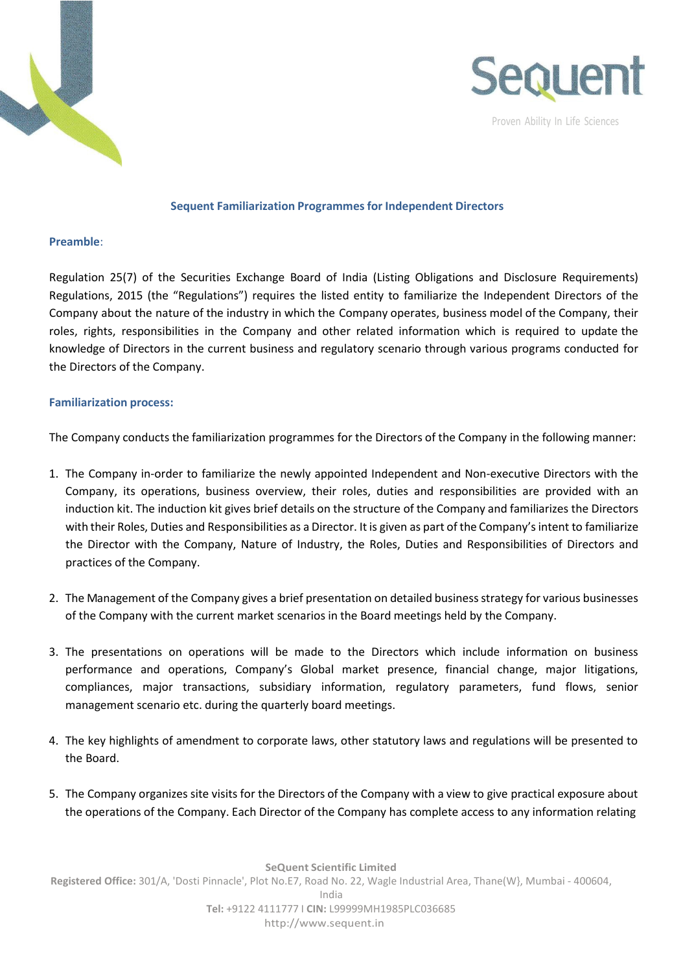



Proven Ability In Life Sciences

## **Sequent Familiarization Programmesfor Independent Directors**

## **Preamble**:

Regulation 25(7) of the Securities Exchange Board of India (Listing Obligations and Disclosure Requirements) Regulations, 2015 (the "Regulations") requires the listed entity to familiarize the Independent Directors of the Company about the nature of the industry in which the Company operates, business model of the Company, their roles, rights, responsibilities in the Company and other related information which is required to update the knowledge of Directors in the current business and regulatory scenario through various programs conducted for the Directors of the Company.

## **Familiarization process:**

The Company conducts the familiarization programmes for the Directors of the Company in the following manner:

- 1. The Company in-order to familiarize the newly appointed Independent and Non-executive Directors with the Company, its operations, business overview, their roles, duties and responsibilities are provided with an induction kit. The induction kit gives brief details on the structure of the Company and familiarizes the Directors with their Roles, Duties and Responsibilities as a Director. It is given as part of the Company's intent to familiarize the Director with the Company, Nature of Industry, the Roles, Duties and Responsibilities of Directors and practices of the Company.
- 2. The Management of the Company gives a brief presentation on detailed businessstrategy for various businesses of the Company with the current market scenarios in the Board meetings held by the Company.
- 3. The presentations on operations will be made to the Directors which include information on business performance and operations, Company's Global market presence, financial change, major litigations, compliances, major transactions, subsidiary information, regulatory parameters, fund flows, senior management scenario etc. during the quarterly board meetings.
- 4. The key highlights of amendment to corporate laws, other statutory laws and regulations will be presented to the Board.
- 5. The Company organizes site visits for the Directors of the Company with a view to give practical exposure about the operations of the Company. Each Director of the Company has complete access to any information relating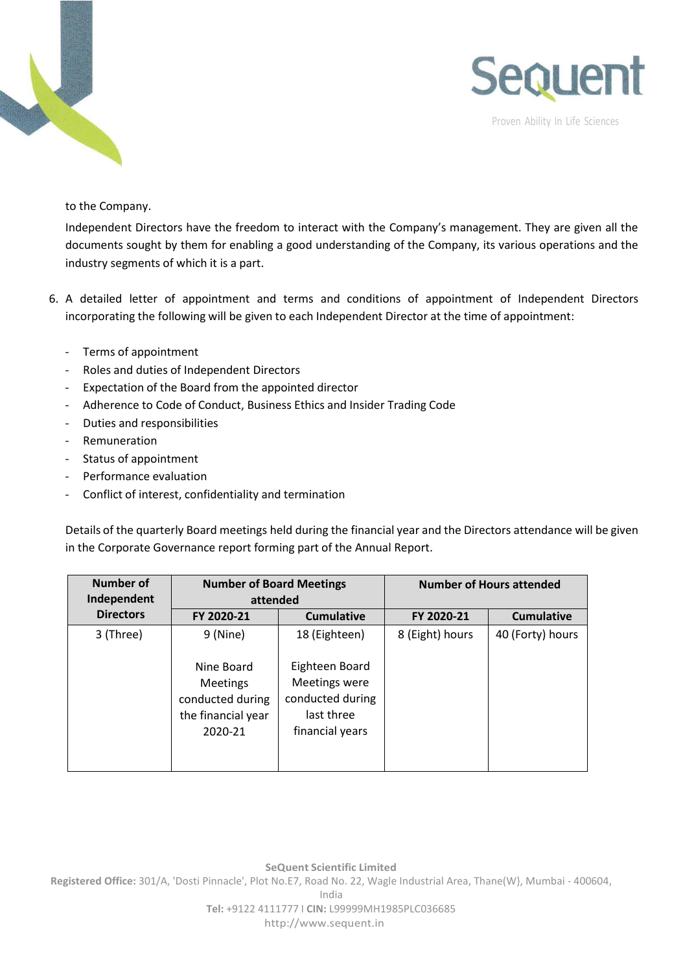



Proven Ability In Life Sciences

to the Company.

Independent Directors have the freedom to interact with the Company's management. They are given all the documents sought by them for enabling a good understanding of the Company, its various operations and the industry segments of which it is a part.

- 6. A detailed letter of appointment and terms and conditions of appointment of Independent Directors incorporating the following will be given to each Independent Director at the time of appointment:
	- Terms of appointment
	- Roles and duties of Independent Directors
	- Expectation of the Board from the appointed director
	- Adherence to Code of Conduct, Business Ethics and Insider Trading Code
	- Duties and responsibilities
	- Remuneration
	- Status of appointment
	- Performance evaluation
	- Conflict of interest, confidentiality and termination

Details of the quarterly Board meetings held during the financial year and the Directors attendance will be given in the Corporate Governance report forming part of the Annual Report.

| Number of        | <b>Number of Board Meetings</b><br>attended                                        |                                                                                      | <b>Number of Hours attended</b> |                   |
|------------------|------------------------------------------------------------------------------------|--------------------------------------------------------------------------------------|---------------------------------|-------------------|
| Independent      |                                                                                    |                                                                                      |                                 |                   |
| <b>Directors</b> | FY 2020-21                                                                         | <b>Cumulative</b>                                                                    | FY 2020-21                      | <b>Cumulative</b> |
| 3 (Three)        | 9 (Nine)                                                                           | 18 (Eighteen)                                                                        | 8 (Eight) hours                 | 40 (Forty) hours  |
|                  | Nine Board<br><b>Meetings</b><br>conducted during<br>the financial year<br>2020-21 | Eighteen Board<br>Meetings were<br>conducted during<br>last three<br>financial years |                                 |                   |

**SeQuent Scientific Limited Registered Office:** 301/A, 'Dosti Pinnacle', Plot No.E7, Road No. 22, Wagle Industrial Area, Thane(W}, Mumbai - 400604, India **Tel:** +9122 4111777 I **CIN:** L99999MH1985PLC036685 [http://www.sequent.in](http://www.sequent.in/)